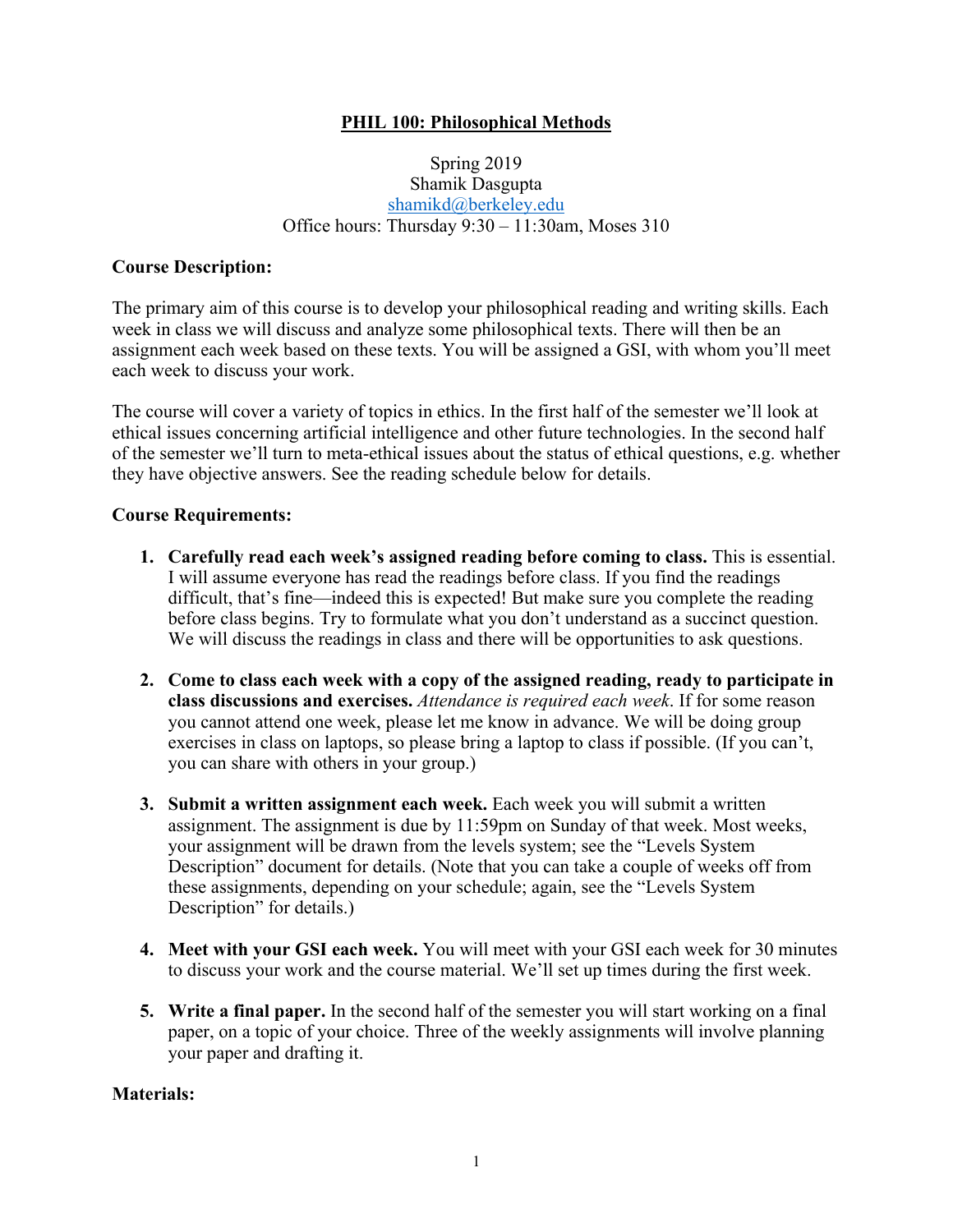## **PHIL 100: Philosophical Methods**

### Spring 2019 Shamik Dasgupta shamikd@berkeley.edu Office hours: Thursday 9:30 – 11:30am, Moses 310

### **Course Description:**

The primary aim of this course is to develop your philosophical reading and writing skills. Each week in class we will discuss and analyze some philosophical texts. There will then be an assignment each week based on these texts. You will be assigned a GSI, with whom you'll meet each week to discuss your work.

The course will cover a variety of topics in ethics. In the first half of the semester we'll look at ethical issues concerning artificial intelligence and other future technologies. In the second half of the semester we'll turn to meta-ethical issues about the status of ethical questions, e.g. whether they have objective answers. See the reading schedule below for details.

#### **Course Requirements:**

- **1. Carefully read each week's assigned reading before coming to class.** This is essential. I will assume everyone has read the readings before class. If you find the readings difficult, that's fine—indeed this is expected! But make sure you complete the reading before class begins. Try to formulate what you don't understand as a succinct question. We will discuss the readings in class and there will be opportunities to ask questions.
- **2. Come to class each week with a copy of the assigned reading, ready to participate in class discussions and exercises.** *Attendance is required each week*. If for some reason you cannot attend one week, please let me know in advance. We will be doing group exercises in class on laptops, so please bring a laptop to class if possible. (If you can't, you can share with others in your group.)
- **3. Submit a written assignment each week.** Each week you will submit a written assignment. The assignment is due by 11:59pm on Sunday of that week. Most weeks, your assignment will be drawn from the levels system; see the "Levels System Description" document for details. (Note that you can take a couple of weeks off from these assignments, depending on your schedule; again, see the "Levels System Description" for details.)
- **4. Meet with your GSI each week.** You will meet with your GSI each week for 30 minutes to discuss your work and the course material. We'll set up times during the first week.
- **5. Write a final paper.** In the second half of the semester you will start working on a final paper, on a topic of your choice. Three of the weekly assignments will involve planning your paper and drafting it.

### **Materials:**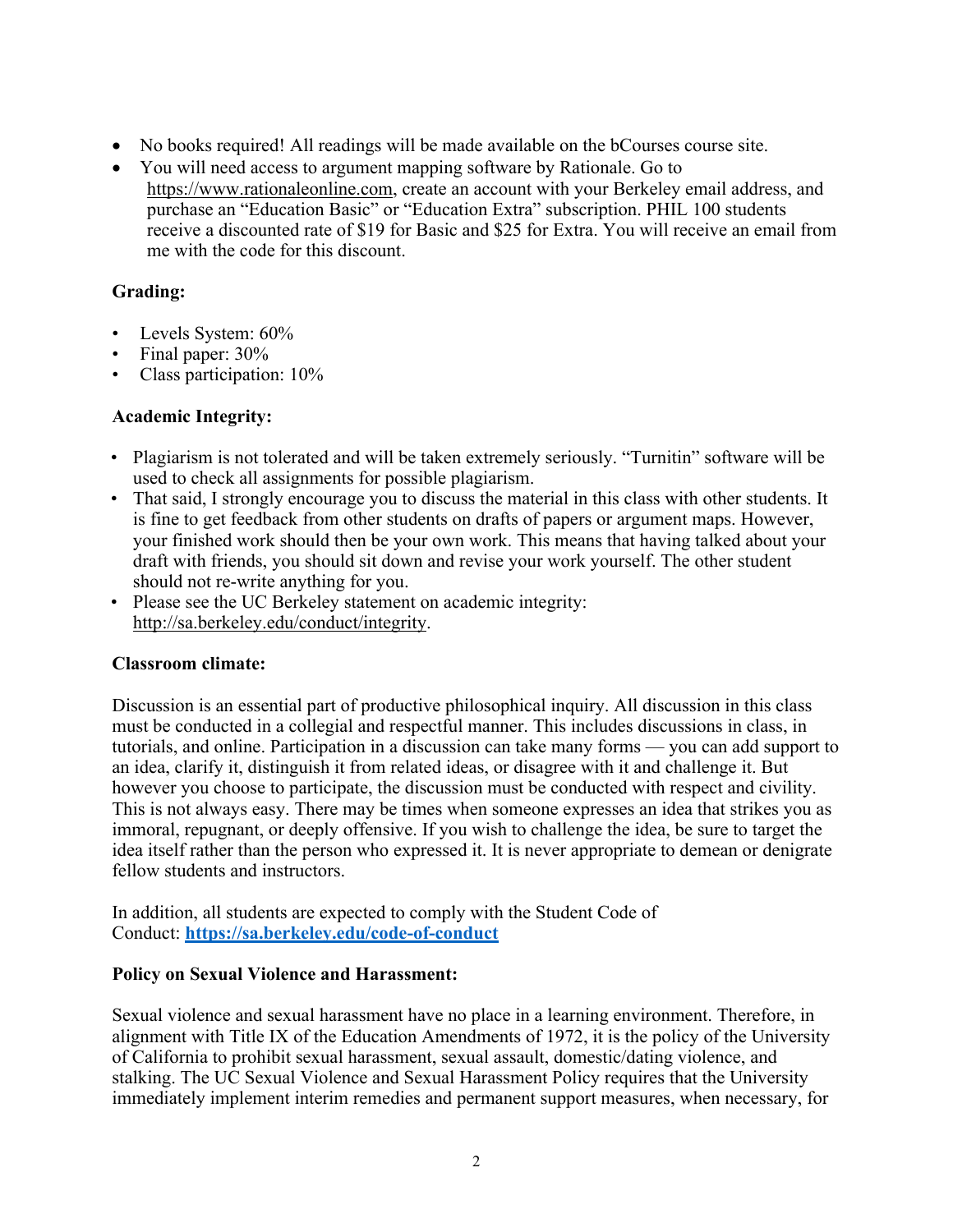- No books required! All readings will be made available on the bCourses course site.
- You will need access to argument mapping software by Rationale. Go to https://www.rationaleonline.com, create an account with your Berkeley email address, and purchase an "Education Basic" or "Education Extra" subscription. PHIL 100 students receive a discounted rate of \$19 for Basic and \$25 for Extra. You will receive an email from me with the code for this discount.

## **Grading:**

- Levels System:  $60\%$
- Final paper:  $30\%$
- Class participation: 10%

#### **Academic Integrity:**

- Plagiarism is not tolerated and will be taken extremely seriously. "Turnitin" software will be used to check all assignments for possible plagiarism.
- That said, I strongly encourage you to discuss the material in this class with other students. It is fine to get feedback from other students on drafts of papers or argument maps. However, your finished work should then be your own work. This means that having talked about your draft with friends, you should sit down and revise your work yourself. The other student should not re-write anything for you.
- Please see the UC Berkeley statement on academic integrity: http://sa.berkeley.edu/conduct/integrity.

### **Classroom climate:**

Discussion is an essential part of productive philosophical inquiry. All discussion in this class must be conducted in a collegial and respectful manner. This includes discussions in class, in tutorials, and online. Participation in a discussion can take many forms — you can add support to an idea, clarify it, distinguish it from related ideas, or disagree with it and challenge it. But however you choose to participate, the discussion must be conducted with respect and civility. This is not always easy. There may be times when someone expresses an idea that strikes you as immoral, repugnant, or deeply offensive. If you wish to challenge the idea, be sure to target the idea itself rather than the person who expressed it. It is never appropriate to demean or denigrate fellow students and instructors.

In addition, all students are expected to comply with the Student Code of Conduct: **https://sa.berkeley.edu/code-of-conduct**

#### **Policy on Sexual Violence and Harassment:**

Sexual violence and sexual harassment have no place in a learning environment. Therefore, in alignment with Title IX of the Education Amendments of 1972, it is the policy of the University of California to prohibit sexual harassment, sexual assault, domestic/dating violence, and stalking. The UC Sexual Violence and Sexual Harassment Policy requires that the University immediately implement interim remedies and permanent support measures, when necessary, for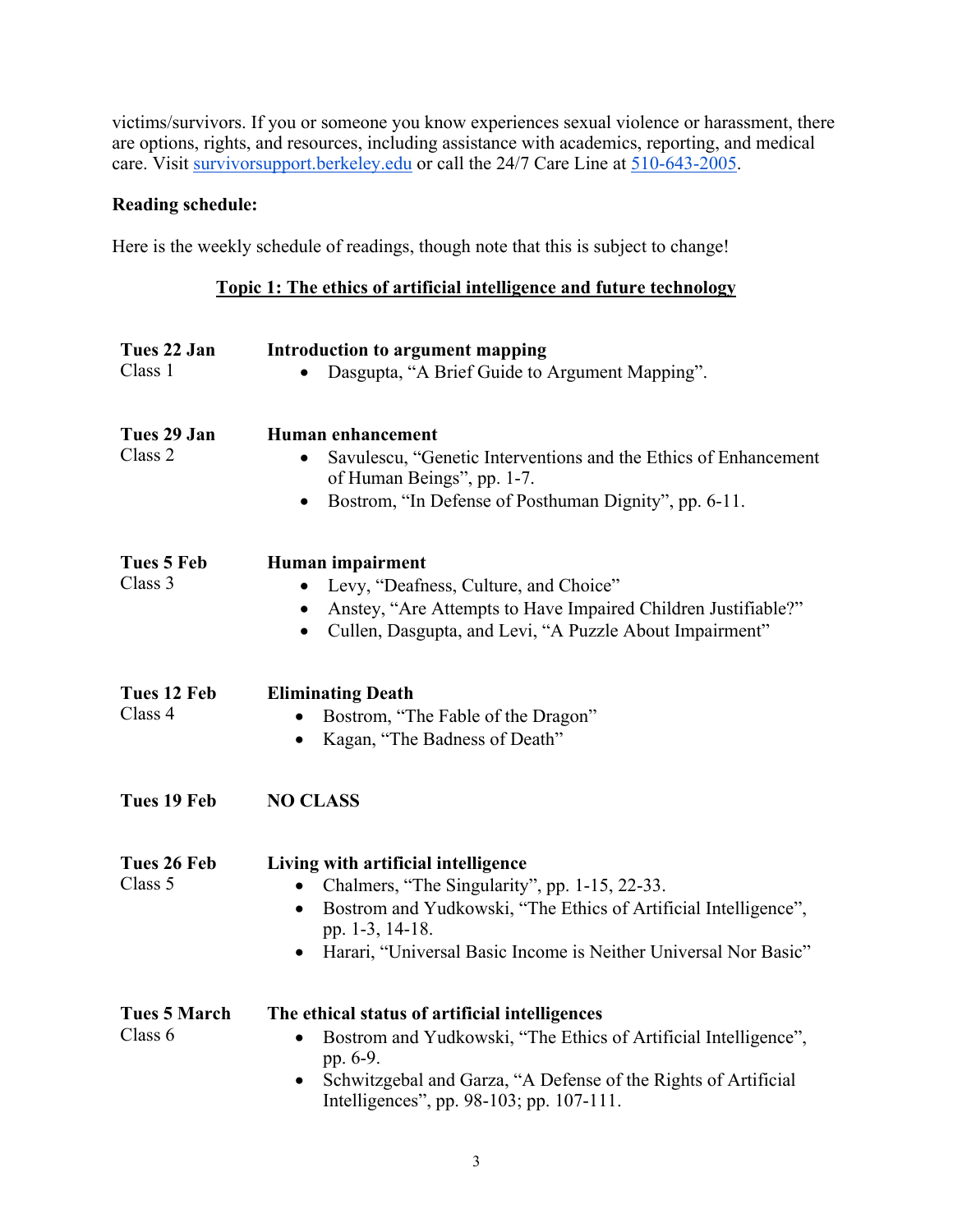victims/survivors. If you or someone you know experiences sexual violence or harassment, there are options, rights, and resources, including assistance with academics, reporting, and medical care. Visit survivorsupport.berkeley.edu or call the 24/7 Care Line at 510-643-2005.

# **Reading schedule:**

Here is the weekly schedule of readings, though note that this is subject to change!

# **Topic 1: The ethics of artificial intelligence and future technology**

| Tues 22 Jan         | <b>Introduction to argument mapping</b>                                                                    |
|---------------------|------------------------------------------------------------------------------------------------------------|
| Class 1             | Dasgupta, "A Brief Guide to Argument Mapping".                                                             |
| Tues 29 Jan         | <b>Human enhancement</b>                                                                                   |
| Class <sub>2</sub>  | Savulescu, "Genetic Interventions and the Ethics of Enhancement<br>of Human Beings", pp. 1-7.              |
|                     | Bostrom, "In Defense of Posthuman Dignity", pp. 6-11.<br>$\bullet$                                         |
| Tues 5 Feb          | Human impairment                                                                                           |
| Class 3             | Levy, "Deafness, Culture, and Choice"<br>$\bullet$                                                         |
|                     | Anstey, "Are Attempts to Have Impaired Children Justifiable?"                                              |
|                     | Cullen, Dasgupta, and Levi, "A Puzzle About Impairment"<br>$\bullet$                                       |
| Tues 12 Feb         | <b>Eliminating Death</b>                                                                                   |
| Class 4             | Bostrom, "The Fable of the Dragon"<br>$\bullet$                                                            |
|                     | Kagan, "The Badness of Death"<br>$\bullet$                                                                 |
| Tues 19 Feb         | <b>NO CLASS</b>                                                                                            |
| Tues 26 Feb         | Living with artificial intelligence                                                                        |
| Class 5             | Chalmers, "The Singularity", pp. 1-15, 22-33.                                                              |
|                     | Bostrom and Yudkowski, "The Ethics of Artificial Intelligence",<br>pp. 1-3, 14-18.                         |
|                     | Harari, "Universal Basic Income is Neither Universal Nor Basic"                                            |
| <b>Tues 5 March</b> | The ethical status of artificial intelligences                                                             |
| Class 6             | Bostrom and Yudkowski, "The Ethics of Artificial Intelligence",<br>$\bullet$<br>pp. 6-9.                   |
|                     | Schwitzgebal and Garza, "A Defense of the Rights of Artificial<br>Intelligences", pp. 98-103; pp. 107-111. |